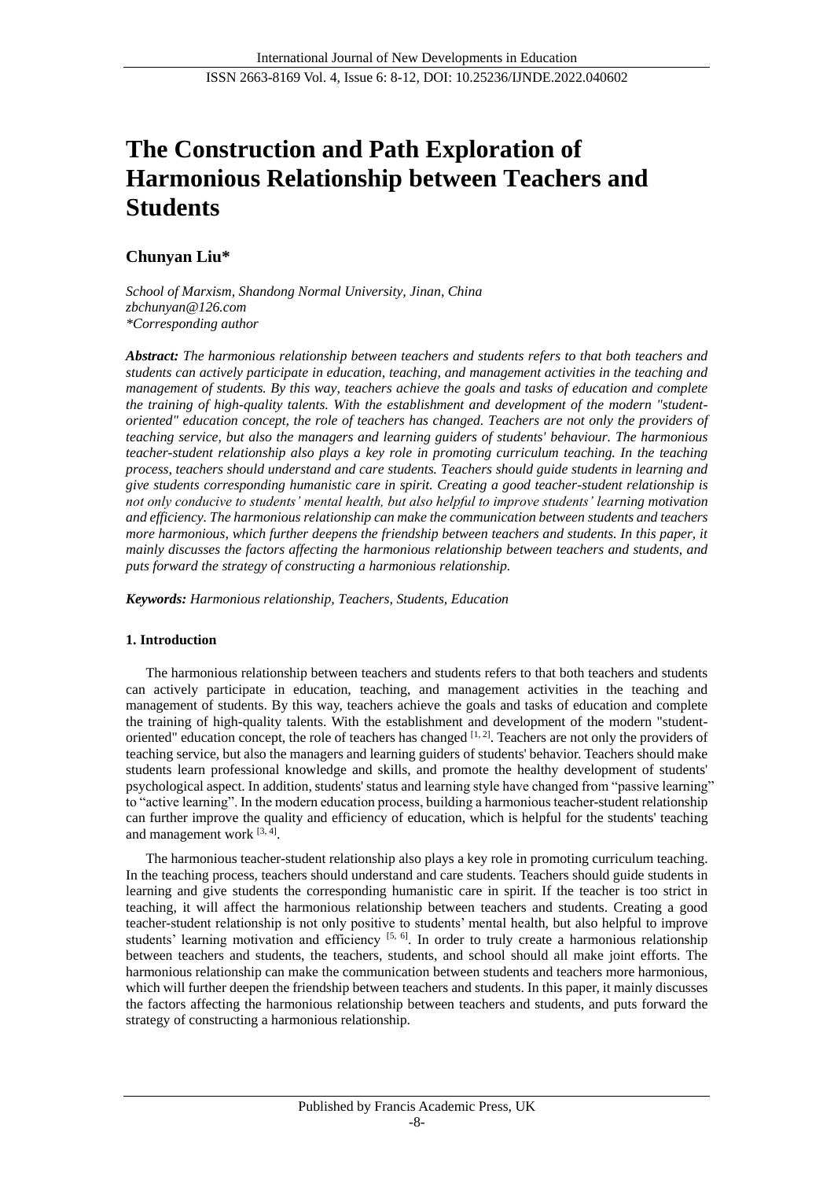# **The Construction and Path Exploration of Harmonious Relationship between Teachers and Students**

# **Chunyan Liu\***

*School of Marxism, Shandong Normal University, Jinan, China zbchunyan@126.com \*Corresponding author*

*Abstract: The harmonious relationship between teachers and students refers to that both teachers and students can actively participate in education, teaching, and management activities in the teaching and management of students. By this way, teachers achieve the goals and tasks of education and complete the training of high-quality talents. With the establishment and development of the modern "studentoriented" education concept, the role of teachers has changed. Teachers are not only the providers of teaching service, but also the managers and learning guiders of students' behaviour. The harmonious teacher-student relationship also plays a key role in promoting curriculum teaching. In the teaching process, teachers should understand and care students. Teachers should guide students in learning and give students corresponding humanistic care in spirit. Creating a good teacher-student relationship is not only conducive to students' mental health, but also helpful to improve students' learning motivation and efficiency. The harmonious relationship can make the communication between students and teachers more harmonious, which further deepens the friendship between teachers and students. In this paper, it mainly discusses the factors affecting the harmonious relationship between teachers and students, and puts forward the strategy of constructing a harmonious relationship.*

*Keywords: Harmonious relationship, Teachers, Students, Education*

# **1. Introduction**

The harmonious relationship between teachers and students refers to that both teachers and students can actively participate in education, teaching, and management activities in the teaching and management of students. By this way, teachers achieve the goals and tasks of education and complete the training of high-quality talents. With the establishment and development of the modern "studentoriented" education concept, the role of teachers has changed  $[1, 2]$ . Teachers are not only the providers of teaching service, but also the managers and learning guiders of students' behavior. Teachers should make students learn professional knowledge and skills, and promote the healthy development of students' psychological aspect. In addition, students' status and learning style have changed from "passive learning" to "active learning". In the modern education process, building a harmonious teacher-student relationship can further improve the quality and efficiency of education, which is helpful for the students' teaching and management work  $[3, 4]$ .

The harmonious teacher-student relationship also plays a key role in promoting curriculum teaching. In the teaching process, teachers should understand and care students. Teachers should guide students in learning and give students the corresponding humanistic care in spirit. If the teacher is too strict in teaching, it will affect the harmonious relationship between teachers and students. Creating a good teacher-student relationship is not only positive to students' mental health, but also helpful to improve students' learning motivation and efficiency  $[5, 6]$ . In order to truly create a harmonious relationship between teachers and students, the teachers, students, and school should all make joint efforts. The harmonious relationship can make the communication between students and teachers more harmonious, which will further deepen the friendship between teachers and students. In this paper, it mainly discusses the factors affecting the harmonious relationship between teachers and students, and puts forward the strategy of constructing a harmonious relationship.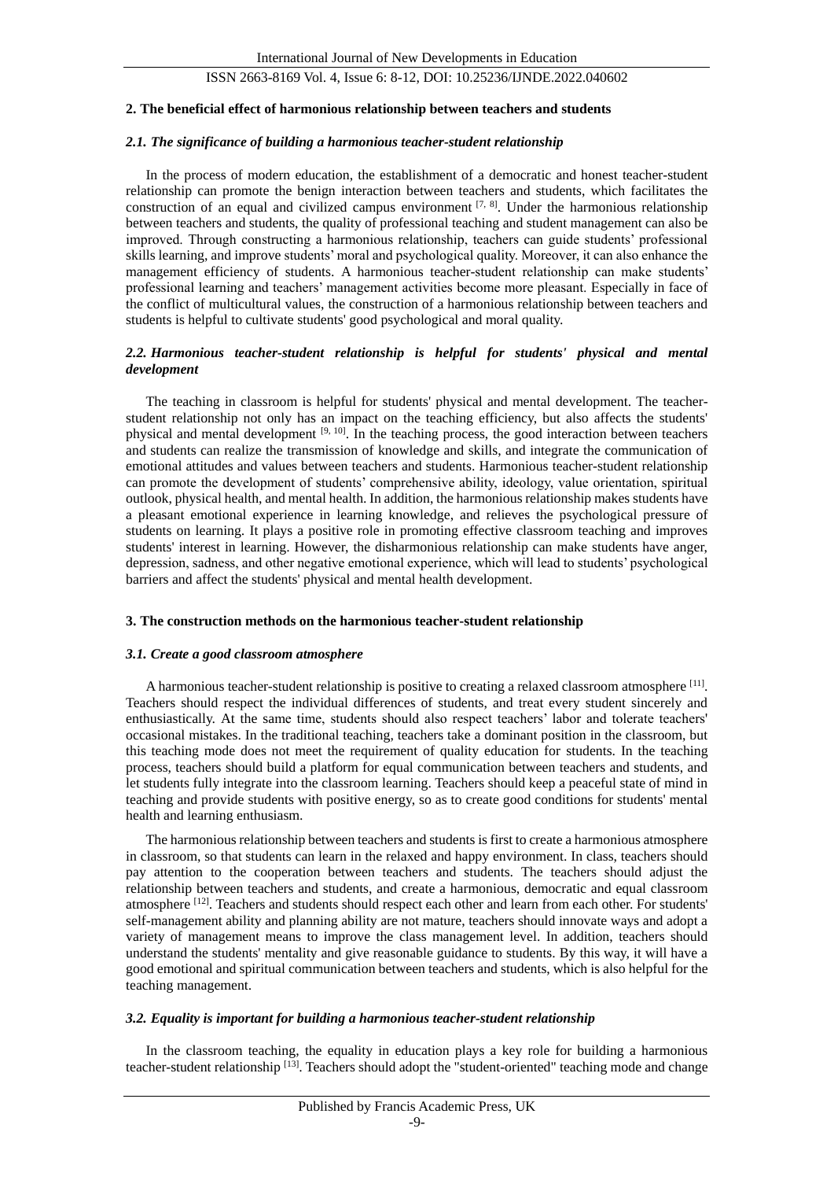#### **2. The beneficial effect of harmonious relationship between teachers and students**

## *2.1. The significance of building a harmonious teacher-student relationship*

In the process of modern education, the establishment of a democratic and honest teacher-student relationship can promote the benign interaction between teachers and students, which facilitates the construction of an equal and civilized campus environment  $[7, 8]$ . Under the harmonious relationship between teachers and students, the quality of professional teaching and student management can also be improved. Through constructing a harmonious relationship, teachers can guide students' professional skills learning, and improve students' moral and psychological quality. Moreover, it can also enhance the management efficiency of students. A harmonious teacher-student relationship can make students' professional learning and teachers' management activities become more pleasant. Especially in face of the conflict of multicultural values, the construction of a harmonious relationship between teachers and students is helpful to cultivate students' good psychological and moral quality.

## *2.2. Harmonious teacher-student relationship is helpful for students' physical and mental development*

The teaching in classroom is helpful for students' physical and mental development. The teacherstudent relationship not only has an impact on the teaching efficiency, but also affects the students' physical and mental development [9, 10]. In the teaching process, the good interaction between teachers and students can realize the transmission of knowledge and skills, and integrate the communication of emotional attitudes and values between teachers and students. Harmonious teacher-student relationship can promote the development of students' comprehensive ability, ideology, value orientation, spiritual outlook, physical health, and mental health. In addition, the harmonious relationship makes students have a pleasant emotional experience in learning knowledge, and relieves the psychological pressure of students on learning. It plays a positive role in promoting effective classroom teaching and improves students' interest in learning. However, the disharmonious relationship can make students have anger, depression, sadness, and other negative emotional experience, which will lead to students' psychological barriers and affect the students' physical and mental health development.

#### **3. The construction methods on the harmonious teacher-student relationship**

#### *3.1. Create a good classroom atmosphere*

A harmonious teacher-student relationship is positive to creating a relaxed classroom atmosphere  $[11]$ . Teachers should respect the individual differences of students, and treat every student sincerely and enthusiastically. At the same time, students should also respect teachers' labor and tolerate teachers' occasional mistakes. In the traditional teaching, teachers take a dominant position in the classroom, but this teaching mode does not meet the requirement of quality education for students. In the teaching process, teachers should build a platform for equal communication between teachers and students, and let students fully integrate into the classroom learning. Teachers should keep a peaceful state of mind in teaching and provide students with positive energy, so as to create good conditions for students' mental health and learning enthusiasm.

The harmonious relationship between teachers and students is first to create a harmonious atmosphere in classroom, so that students can learn in the relaxed and happy environment. In class, teachers should pay attention to the cooperation between teachers and students. The teachers should adjust the relationship between teachers and students, and create a harmonious, democratic and equal classroom atmosphere [12]. Teachers and students should respect each other and learn from each other. For students' self-management ability and planning ability are not mature, teachers should innovate ways and adopt a variety of management means to improve the class management level. In addition, teachers should understand the students' mentality and give reasonable guidance to students. By this way, it will have a good emotional and spiritual communication between teachers and students, which is also helpful for the teaching management.

#### *3.2. Equality is important for building a harmonious teacher-student relationship*

In the classroom teaching, the equality in education plays a key role for building a harmonious teacher-student relationship [13]. Teachers should adopt the "student-oriented" teaching mode and change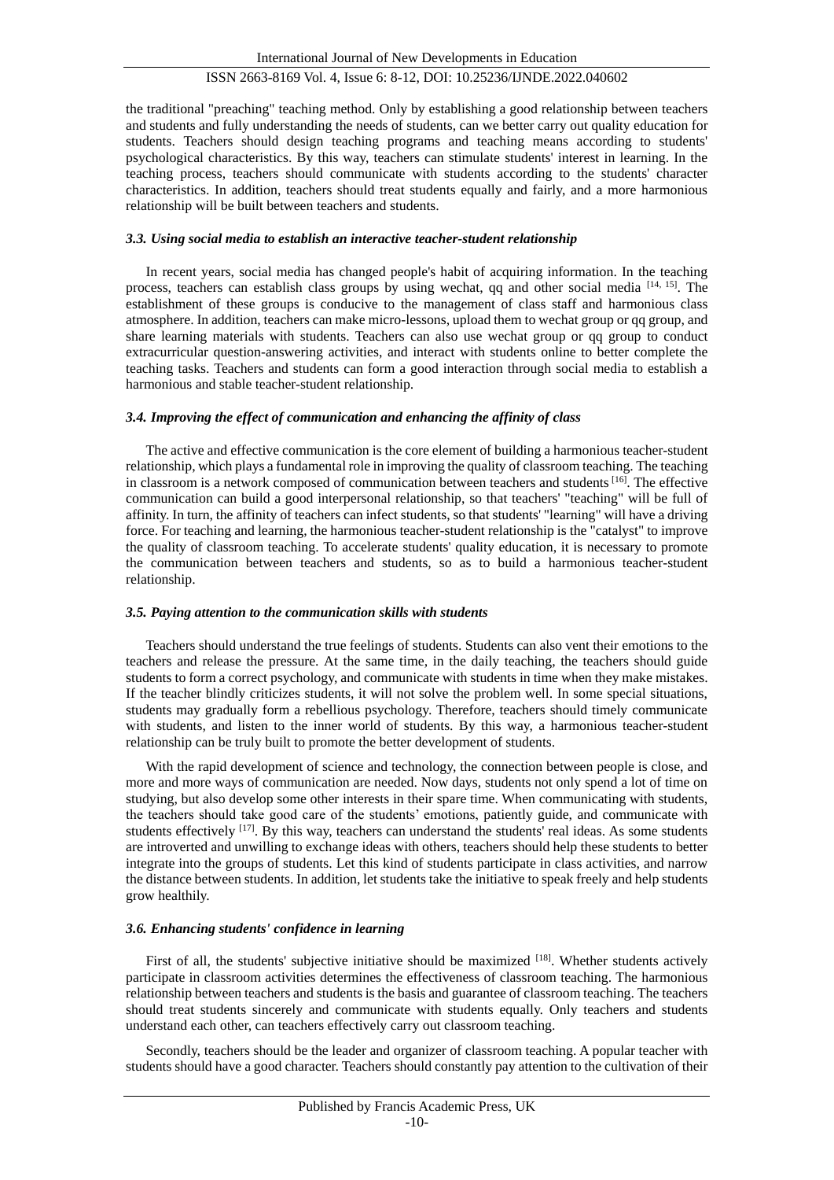the traditional "preaching" teaching method. Only by establishing a good relationship between teachers and students and fully understanding the needs of students, can we better carry out quality education for students. Teachers should design teaching programs and teaching means according to students' psychological characteristics. By this way, teachers can stimulate students' interest in learning. In the teaching process, teachers should communicate with students according to the students' character characteristics. In addition, teachers should treat students equally and fairly, and a more harmonious relationship will be built between teachers and students.

## *3.3. Using social media to establish an interactive teacher-student relationship*

In recent years, social media has changed people's habit of acquiring information. In the teaching process, teachers can establish class groups by using wechat, qq and other social media  $[14, 15]$ . The establishment of these groups is conducive to the management of class staff and harmonious class atmosphere. In addition, teachers can make micro-lessons, upload them to wechat group or qq group, and share learning materials with students. Teachers can also use wechat group or qq group to conduct extracurricular question-answering activities, and interact with students online to better complete the teaching tasks. Teachers and students can form a good interaction through social media to establish a harmonious and stable teacher-student relationship.

#### *3.4. Improving the effect of communication and enhancing the affinity of class*

The active and effective communication is the core element of building a harmonious teacher-student relationship, which plays a fundamental role in improving the quality of classroom teaching. The teaching in classroom is a network composed of communication between teachers and students<sup>[16]</sup>. The effective communication can build a good interpersonal relationship, so that teachers' "teaching" will be full of affinity. In turn, the affinity of teachers can infect students, so that students' "learning" will have a driving force. For teaching and learning, the harmonious teacher-student relationship is the "catalyst" to improve the quality of classroom teaching. To accelerate students' quality education, it is necessary to promote the communication between teachers and students, so as to build a harmonious teacher-student relationship.

#### *3.5. Paying attention to the communication skills with students*

Teachers should understand the true feelings of students. Students can also vent their emotions to the teachers and release the pressure. At the same time, in the daily teaching, the teachers should guide students to form a correct psychology, and communicate with students in time when they make mistakes. If the teacher blindly criticizes students, it will not solve the problem well. In some special situations, students may gradually form a rebellious psychology. Therefore, teachers should timely communicate with students, and listen to the inner world of students. By this way, a harmonious teacher-student relationship can be truly built to promote the better development of students.

With the rapid development of science and technology, the connection between people is close, and more and more ways of communication are needed. Now days, students not only spend a lot of time on studying, but also develop some other interests in their spare time. When communicating with students, the teachers should take good care of the students' emotions, patiently guide, and communicate with students effectively <sup>[17]</sup>. By this way, teachers can understand the students' real ideas. As some students are introverted and unwilling to exchange ideas with others, teachers should help these students to better integrate into the groups of students. Let this kind of students participate in class activities, and narrow the distance between students. In addition, let students take the initiative to speak freely and help students grow healthily.

# *3.6. Enhancing students' confidence in learning*

First of all, the students' subjective initiative should be maximized [18]. Whether students actively participate in classroom activities determines the effectiveness of classroom teaching. The harmonious relationship between teachers and students is the basis and guarantee of classroom teaching. The teachers should treat students sincerely and communicate with students equally. Only teachers and students understand each other, can teachers effectively carry out classroom teaching.

Secondly, teachers should be the leader and organizer of classroom teaching. A popular teacher with students should have a good character. Teachers should constantly pay attention to the cultivation of their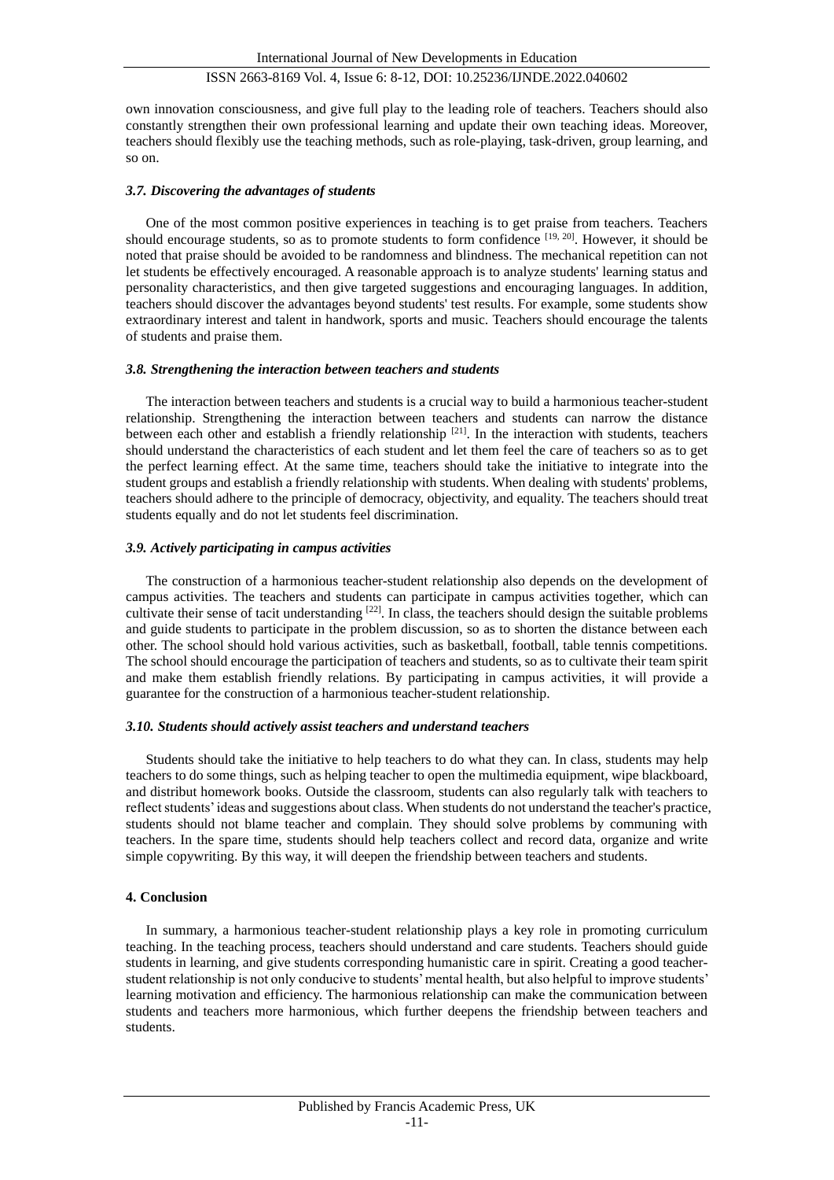own innovation consciousness, and give full play to the leading role of teachers. Teachers should also constantly strengthen their own professional learning and update their own teaching ideas. Moreover, teachers should flexibly use the teaching methods, such as role-playing, task-driven, group learning, and so on.

#### *3.7. Discovering the advantages of students*

One of the most common positive experiences in teaching is to get praise from teachers. Teachers should encourage students, so as to promote students to form confidence  $[19, 20]$ . However, it should be noted that praise should be avoided to be randomness and blindness. The mechanical repetition can not let students be effectively encouraged. A reasonable approach is to analyze students' learning status and personality characteristics, and then give targeted suggestions and encouraging languages. In addition, teachers should discover the advantages beyond students' test results. For example, some students show extraordinary interest and talent in handwork, sports and music. Teachers should encourage the talents of students and praise them.

#### *3.8. Strengthening the interaction between teachers and students*

The interaction between teachers and students is a crucial way to build a harmonious teacher-student relationship. Strengthening the interaction between teachers and students can narrow the distance between each other and establish a friendly relationship [21]. In the interaction with students, teachers should understand the characteristics of each student and let them feel the care of teachers so as to get the perfect learning effect. At the same time, teachers should take the initiative to integrate into the student groups and establish a friendly relationship with students. When dealing with students' problems, teachers should adhere to the principle of democracy, objectivity, and equality. The teachers should treat students equally and do not let students feel discrimination.

#### *3.9. Actively participating in campus activities*

The construction of a harmonious teacher-student relationship also depends on the development of campus activities. The teachers and students can participate in campus activities together, which can cultivate their sense of tacit understanding [22]. In class, the teachers should design the suitable problems and guide students to participate in the problem discussion, so as to shorten the distance between each other. The school should hold various activities, such as basketball, football, table tennis competitions. The school should encourage the participation of teachers and students, so as to cultivate their team spirit and make them establish friendly relations. By participating in campus activities, it will provide a guarantee for the construction of a harmonious teacher-student relationship.

#### *3.10. Students should actively assist teachers and understand teachers*

Students should take the initiative to help teachers to do what they can. In class, students may help teachers to do some things, such as helping teacher to open the multimedia equipment, wipe blackboard, and distribut homework books. Outside the classroom, students can also regularly talk with teachers to reflect students' ideas and suggestions about class. When students do not understand the teacher's practice, students should not blame teacher and complain. They should solve problems by communing with teachers. In the spare time, students should help teachers collect and record data, organize and write simple copywriting. By this way, it will deepen the friendship between teachers and students.

## **4. Conclusion**

In summary, a harmonious teacher-student relationship plays a key role in promoting curriculum teaching. In the teaching process, teachers should understand and care students. Teachers should guide students in learning, and give students corresponding humanistic care in spirit. Creating a good teacherstudent relationship is not only conducive to students' mental health, but also helpful to improve students' learning motivation and efficiency. The harmonious relationship can make the communication between students and teachers more harmonious, which further deepens the friendship between teachers and students.